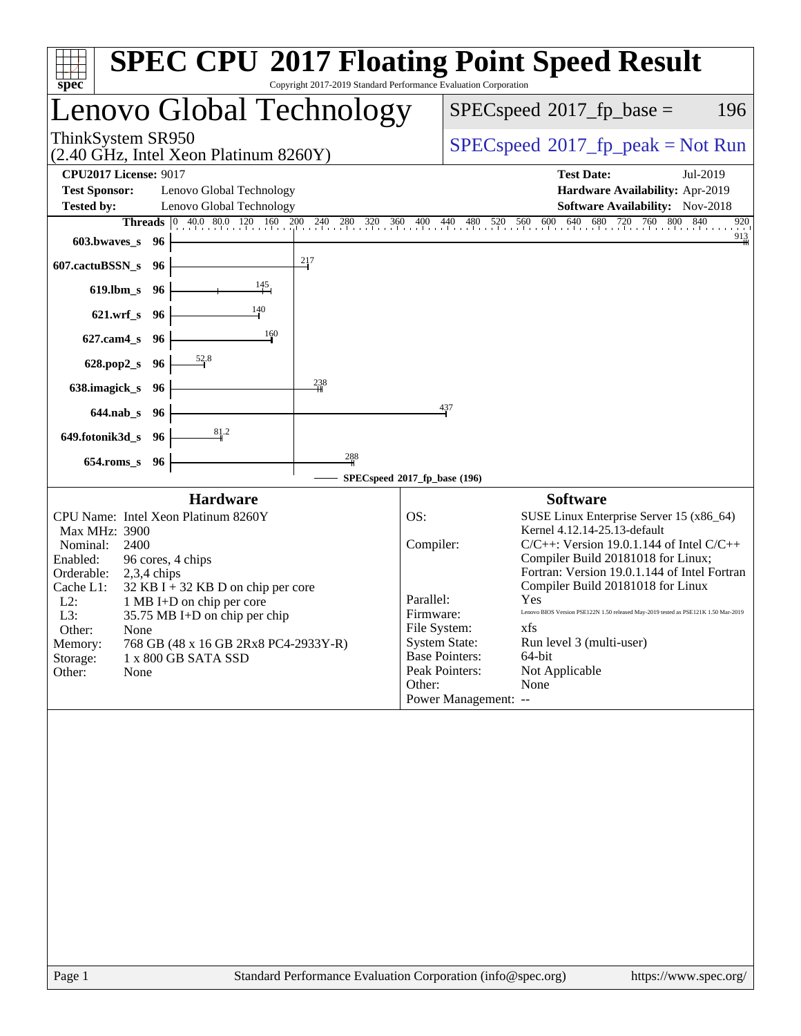| Lenovo Global Technology                                                                                                                                                                                                                                                                                                                                                                                                                                                                                                                                                                                                                                                                                                                                                                                                                                                                                                 | $SPEC speed^{\circ}2017$ fp base =<br>196                                                                                                                                                                                                                                                                                                                                                                                                                                                                                                                                                                                                                   |  |  |
|--------------------------------------------------------------------------------------------------------------------------------------------------------------------------------------------------------------------------------------------------------------------------------------------------------------------------------------------------------------------------------------------------------------------------------------------------------------------------------------------------------------------------------------------------------------------------------------------------------------------------------------------------------------------------------------------------------------------------------------------------------------------------------------------------------------------------------------------------------------------------------------------------------------------------|-------------------------------------------------------------------------------------------------------------------------------------------------------------------------------------------------------------------------------------------------------------------------------------------------------------------------------------------------------------------------------------------------------------------------------------------------------------------------------------------------------------------------------------------------------------------------------------------------------------------------------------------------------------|--|--|
| ThinkSystem SR950<br>(2.40 GHz, Intel Xeon Platinum 8260Y)                                                                                                                                                                                                                                                                                                                                                                                                                                                                                                                                                                                                                                                                                                                                                                                                                                                               | $SPEC speed^{\circ}2017\_fp\_peak = Not Run$                                                                                                                                                                                                                                                                                                                                                                                                                                                                                                                                                                                                                |  |  |
| <b>CPU2017 License: 9017</b><br><b>Test Sponsor:</b><br>Lenovo Global Technology<br><b>Tested by:</b><br>Lenovo Global Technology                                                                                                                                                                                                                                                                                                                                                                                                                                                                                                                                                                                                                                                                                                                                                                                        | <b>Test Date:</b><br>Jul-2019<br>Hardware Availability: Apr-2019<br>Software Availability: Nov-2018                                                                                                                                                                                                                                                                                                                                                                                                                                                                                                                                                         |  |  |
| 40.0 80.0 120 160 200 240 280 320 360<br>400<br>Threads<br>$ 0\rangle$<br>603.bwaves_s<br>96<br>217<br>607.cactuBSSN_s<br>-96<br>145<br>$619$ .lbm_s<br>96<br>140<br>$621.wrf$ <sub>S</sub><br>96<br>160<br>$627$ .cam $4_s$<br>96<br>52.8<br>628.pop2_s<br>96<br>238<br>638.imagick_s<br>- 96<br>$644$ .nab s<br>- 96<br>81.2<br>649.fotonik3d_s<br>- 96<br>$\frac{288}{4}$<br>$654$ .roms_s<br>96<br>SPECspeed®2017_fp_base (196)<br><b>Hardware</b><br>CPU Name: Intel Xeon Platinum 8260Y<br>OS:<br>Max MHz: 3900<br>Compiler:<br>Nominal:<br>2400<br>Enabled:<br>96 cores, 4 chips<br>Orderable:<br>$2,3,4$ chips<br>Cache L1:<br>$32$ KB I + 32 KB D on chip per core<br>Parallel:<br>$L2$ :<br>1 MB I+D on chip per core<br>Firmware:<br>L3:<br>35.75 MB I+D on chip per chip<br>Other:<br>None<br>768 GB (48 x 16 GB 2Rx8 PC4-2933Y-R)<br>Memory:<br>Storage:<br>1 x 800 GB SATA SSD<br>Other:<br>None<br>Other: | 560 600 640<br>680<br>840<br>720 760 800 84<br>440<br>480<br>520<br>920<br>$\frac{913}{4}$<br>437<br><b>Software</b><br>SUSE Linux Enterprise Server 15 (x86_64)<br>Kernel 4.12.14-25.13-default<br>$C/C++$ : Version 19.0.1.144 of Intel $C/C++$<br>Compiler Build 20181018 for Linux;<br>Fortran: Version 19.0.1.144 of Intel Fortran<br>Compiler Build 20181018 for Linux<br>Yes<br>Lenovo BIOS Version PSE122N 1.50 released May-2019 tested as PSE121K 1.50 Mar-2019<br>File System:<br>xfs<br>Run level 3 (multi-user)<br><b>System State:</b><br><b>Base Pointers:</b><br>64-bit<br>Peak Pointers:<br>Not Applicable<br>None<br>Power Management: -- |  |  |
| Standard Performance Evaluation Corporation (info@spec.org)<br>Page 1                                                                                                                                                                                                                                                                                                                                                                                                                                                                                                                                                                                                                                                                                                                                                                                                                                                    | https://www.spec.org/                                                                                                                                                                                                                                                                                                                                                                                                                                                                                                                                                                                                                                       |  |  |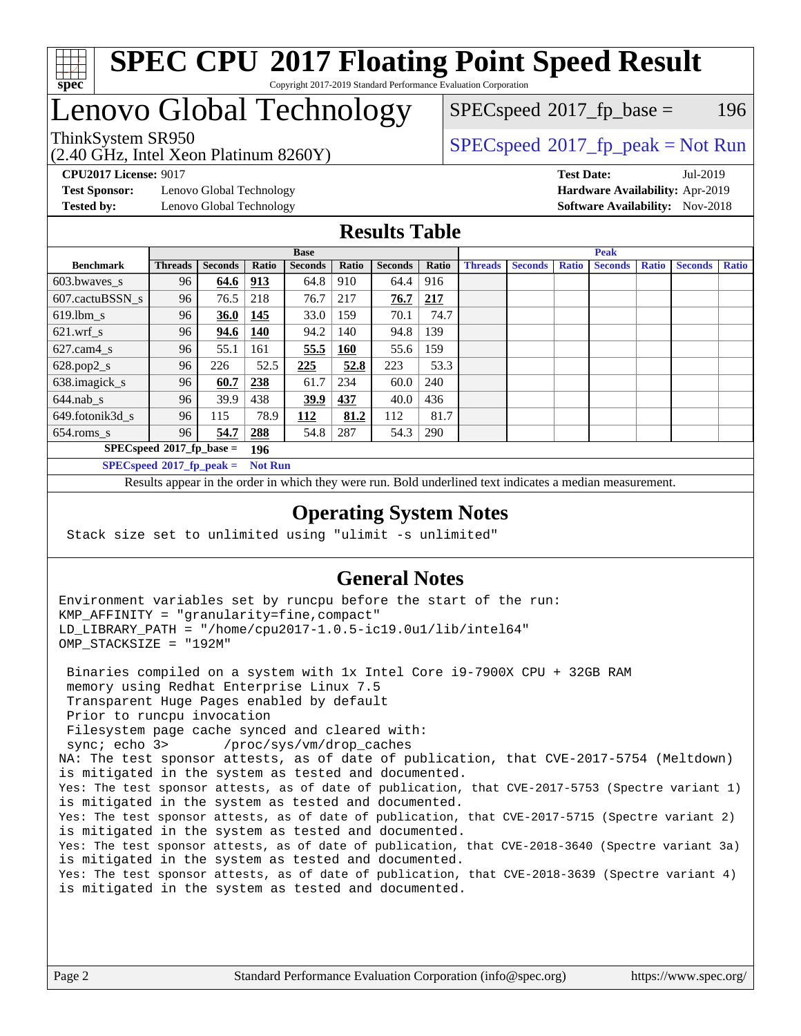

### **[SPEC CPU](http://www.spec.org/auto/cpu2017/Docs/result-fields.html#SPECCPU2017FloatingPointSpeedResult)[2017 Floating Point Speed Result](http://www.spec.org/auto/cpu2017/Docs/result-fields.html#SPECCPU2017FloatingPointSpeedResult)** Copyright 2017-2019 Standard Performance Evaluation Corporation

## Lenovo Global Technology

(2.40 GHz, Intel Xeon Platinum 8260Y)

ThinkSystem SR950<br>  $SPECspeed*2017_fp\_peak = Not Run$  $SPECspeed*2017_fp\_peak = Not Run$  $SPEC speed^{\circ}2017\_fp\_base = 196$ 

**[Test Sponsor:](http://www.spec.org/auto/cpu2017/Docs/result-fields.html#TestSponsor)** Lenovo Global Technology **[Hardware Availability:](http://www.spec.org/auto/cpu2017/Docs/result-fields.html#HardwareAvailability)** Apr-2019 **[Tested by:](http://www.spec.org/auto/cpu2017/Docs/result-fields.html#Testedby)** Lenovo Global Technology **[Software Availability:](http://www.spec.org/auto/cpu2017/Docs/result-fields.html#SoftwareAvailability)** Nov-2018

**[CPU2017 License:](http://www.spec.org/auto/cpu2017/Docs/result-fields.html#CPU2017License)** 9017 **[Test Date:](http://www.spec.org/auto/cpu2017/Docs/result-fields.html#TestDate)** Jul-2019

**[Results Table](http://www.spec.org/auto/cpu2017/Docs/result-fields.html#ResultsTable)**

|                                    | <b>Base</b>    |                |                |                |            | <b>Peak</b>    |              |                |                |              |                |              |                |              |
|------------------------------------|----------------|----------------|----------------|----------------|------------|----------------|--------------|----------------|----------------|--------------|----------------|--------------|----------------|--------------|
| <b>Benchmark</b>                   | <b>Threads</b> | <b>Seconds</b> | <b>Ratio</b>   | <b>Seconds</b> | Ratio      | <b>Seconds</b> | <b>Ratio</b> | <b>Threads</b> | <b>Seconds</b> | <b>Ratio</b> | <b>Seconds</b> | <b>Ratio</b> | <b>Seconds</b> | <b>Ratio</b> |
| $603.bwaves$ s                     | 96             | 64.6           | <u>913</u>     | 64.8           | 910        | 64.4           | 916          |                |                |              |                |              |                |              |
| 607.cactuBSSN s                    | 96             | 76.5           | 218            | 76.7           | 217        | 76.7           | 217          |                |                |              |                |              |                |              |
| $619.1$ bm s                       | 96             | <b>36.0</b>    | <u>145</u>     | 33.0           | 159        | 70.1           | 74.7         |                |                |              |                |              |                |              |
| $621$ .wrf s                       | 96             | 94.6           | 140            | 94.2           | 140        | 94.8           | 139          |                |                |              |                |              |                |              |
| $627$ .cam $4 \text{ s}$           | 96             | 55.1           | 161            | 55.5           | <b>160</b> | 55.6           | 159          |                |                |              |                |              |                |              |
| $628.pop2_s$                       | 96             | 226            | 52.5           | 225            | 52.8       | 223            | 53.3         |                |                |              |                |              |                |              |
| 638.imagick_s                      | 96             | 60.7           | 238            | 61.7           | 234        | 60.0           | 240          |                |                |              |                |              |                |              |
| $644$ .nab s                       | 96             | 39.9           | 438            | 39.9           | 437        | 40.0           | 436          |                |                |              |                |              |                |              |
| 649.fotonik3d s                    | 96             | 115            | 78.9           | <u> 112</u>    | 81.2       | 112            | 81.7         |                |                |              |                |              |                |              |
| $654$ .roms s                      | 96             | 54.7           | 288            | 54.8           | 287        | 54.3           | 290          |                |                |              |                |              |                |              |
| $SPECspeed*2017_fp\_base =$<br>196 |                |                |                |                |            |                |              |                |                |              |                |              |                |              |
| $SPECspeed*2017_fp\_peak =$        |                |                | <b>Not Run</b> |                |            |                |              |                |                |              |                |              |                |              |

Results appear in the [order in which they were run.](http://www.spec.org/auto/cpu2017/Docs/result-fields.html#RunOrder) Bold underlined text [indicates a median measurement](http://www.spec.org/auto/cpu2017/Docs/result-fields.html#Median).

#### **[Operating System Notes](http://www.spec.org/auto/cpu2017/Docs/result-fields.html#OperatingSystemNotes)**

Stack size set to unlimited using "ulimit -s unlimited"

### **[General Notes](http://www.spec.org/auto/cpu2017/Docs/result-fields.html#GeneralNotes)**

Environment variables set by runcpu before the start of the run: KMP\_AFFINITY = "granularity=fine,compact" LD\_LIBRARY\_PATH = "/home/cpu2017-1.0.5-ic19.0u1/lib/intel64" OMP\_STACKSIZE = "192M"

 Binaries compiled on a system with 1x Intel Core i9-7900X CPU + 32GB RAM memory using Redhat Enterprise Linux 7.5 Transparent Huge Pages enabled by default Prior to runcpu invocation Filesystem page cache synced and cleared with: sync; echo 3> /proc/sys/vm/drop\_caches NA: The test sponsor attests, as of date of publication, that CVE-2017-5754 (Meltdown) is mitigated in the system as tested and documented. Yes: The test sponsor attests, as of date of publication, that CVE-2017-5753 (Spectre variant 1) is mitigated in the system as tested and documented. Yes: The test sponsor attests, as of date of publication, that CVE-2017-5715 (Spectre variant 2) is mitigated in the system as tested and documented. Yes: The test sponsor attests, as of date of publication, that CVE-2018-3640 (Spectre variant 3a) is mitigated in the system as tested and documented. Yes: The test sponsor attests, as of date of publication, that CVE-2018-3639 (Spectre variant 4) is mitigated in the system as tested and documented.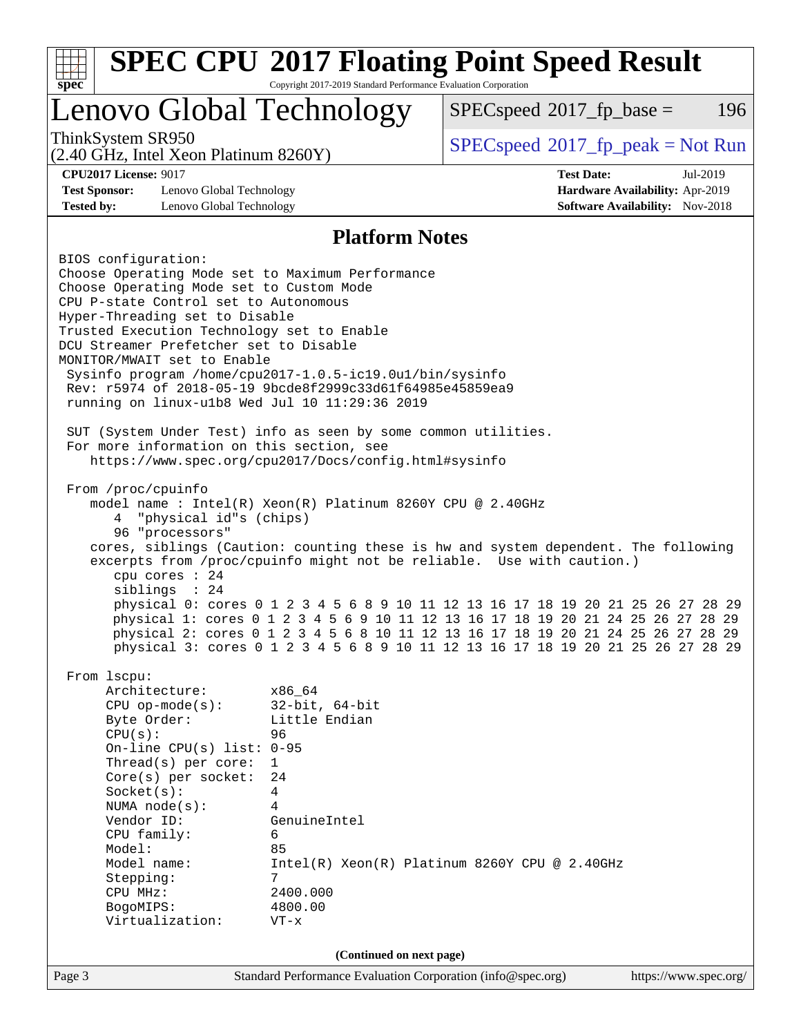| $spec^*$                                                                                                              | Copyright 2017-2019 Standard Performance Evaluation Corporation |                                                                                                                                                                       |                                                                    |
|-----------------------------------------------------------------------------------------------------------------------|-----------------------------------------------------------------|-----------------------------------------------------------------------------------------------------------------------------------------------------------------------|--------------------------------------------------------------------|
| Lenovo Global Technology                                                                                              |                                                                 | $SPEC speed^{\circ}2017$ _fp_base =                                                                                                                                   | 196                                                                |
| ThinkSystem SR950<br>(2.40 GHz, Intel Xeon Platinum 8260Y)                                                            |                                                                 | $SPEC speed^{\circ}2017\_fp\_peak = Not Run$                                                                                                                          |                                                                    |
| <b>CPU2017 License: 9017</b>                                                                                          |                                                                 | <b>Test Date:</b>                                                                                                                                                     | Jul-2019                                                           |
| <b>Test Sponsor:</b><br>Lenovo Global Technology<br><b>Tested by:</b><br>Lenovo Global Technology                     |                                                                 |                                                                                                                                                                       | Hardware Availability: Apr-2019<br>Software Availability: Nov-2018 |
|                                                                                                                       | <b>Platform Notes</b>                                           |                                                                                                                                                                       |                                                                    |
| BIOS configuration:                                                                                                   |                                                                 |                                                                                                                                                                       |                                                                    |
| Choose Operating Mode set to Maximum Performance                                                                      |                                                                 |                                                                                                                                                                       |                                                                    |
| Choose Operating Mode set to Custom Mode                                                                              |                                                                 |                                                                                                                                                                       |                                                                    |
| CPU P-state Control set to Autonomous                                                                                 |                                                                 |                                                                                                                                                                       |                                                                    |
| Hyper-Threading set to Disable                                                                                        |                                                                 |                                                                                                                                                                       |                                                                    |
| Trusted Execution Technology set to Enable                                                                            |                                                                 |                                                                                                                                                                       |                                                                    |
| DCU Streamer Prefetcher set to Disable                                                                                |                                                                 |                                                                                                                                                                       |                                                                    |
| MONITOR/MWAIT set to Enable                                                                                           |                                                                 |                                                                                                                                                                       |                                                                    |
| Sysinfo program /home/cpu2017-1.0.5-ic19.0ul/bin/sysinfo<br>Rev: r5974 of 2018-05-19 9bcde8f2999c33d61f64985e45859ea9 |                                                                 |                                                                                                                                                                       |                                                                    |
| running on linux-ulb8 Wed Jul 10 11:29:36 2019                                                                        |                                                                 |                                                                                                                                                                       |                                                                    |
|                                                                                                                       |                                                                 |                                                                                                                                                                       |                                                                    |
| SUT (System Under Test) info as seen by some common utilities.                                                        |                                                                 |                                                                                                                                                                       |                                                                    |
| For more information on this section, see                                                                             |                                                                 |                                                                                                                                                                       |                                                                    |
| https://www.spec.org/cpu2017/Docs/config.html#sysinfo                                                                 |                                                                 |                                                                                                                                                                       |                                                                    |
|                                                                                                                       |                                                                 |                                                                                                                                                                       |                                                                    |
| From /proc/cpuinfo                                                                                                    |                                                                 |                                                                                                                                                                       |                                                                    |
| model name : Intel(R) Xeon(R) Platinum 8260Y CPU @ 2.40GHz                                                            |                                                                 |                                                                                                                                                                       |                                                                    |
| "physical id"s (chips)<br>4                                                                                           |                                                                 |                                                                                                                                                                       |                                                                    |
| 96 "processors"                                                                                                       |                                                                 |                                                                                                                                                                       |                                                                    |
| cores, siblings (Caution: counting these is hw and system dependent. The following                                    |                                                                 |                                                                                                                                                                       |                                                                    |
| excerpts from /proc/cpuinfo might not be reliable. Use with caution.)                                                 |                                                                 |                                                                                                                                                                       |                                                                    |
| cpu cores : 24                                                                                                        |                                                                 |                                                                                                                                                                       |                                                                    |
| siblings : 24                                                                                                         |                                                                 |                                                                                                                                                                       |                                                                    |
|                                                                                                                       |                                                                 | physical 0: cores 0 1 2 3 4 5 6 8 9 10 11 12 13 16 17 18 19 20 21 25 26 27 28 29                                                                                      |                                                                    |
|                                                                                                                       |                                                                 | physical 1: cores 0 1 2 3 4 5 6 9 10 11 12 13 16 17 18 19 20 21 24 25 26 27 28 29                                                                                     |                                                                    |
|                                                                                                                       |                                                                 | physical 2: cores 0 1 2 3 4 5 6 8 10 11 12 13 16 17 18 19 20 21 24 25 26 27 28 29<br>physical 3: cores 0 1 2 3 4 5 6 8 9 10 11 12 13 16 17 18 19 20 21 25 26 27 28 29 |                                                                    |
|                                                                                                                       |                                                                 |                                                                                                                                                                       |                                                                    |
| From 1scpu:                                                                                                           |                                                                 |                                                                                                                                                                       |                                                                    |
| Architecture:                                                                                                         | x86 64                                                          |                                                                                                                                                                       |                                                                    |
| $CPU$ op-mode( $s$ ):                                                                                                 | $32$ -bit, $64$ -bit                                            |                                                                                                                                                                       |                                                                    |
| Byte Order:                                                                                                           | Little Endian                                                   |                                                                                                                                                                       |                                                                    |
| CPU(s):                                                                                                               | 96                                                              |                                                                                                                                                                       |                                                                    |
| On-line CPU(s) list: 0-95                                                                                             |                                                                 |                                                                                                                                                                       |                                                                    |
| Thread(s) per core:                                                                                                   | $\mathbf 1$                                                     |                                                                                                                                                                       |                                                                    |
| Core(s) per socket:                                                                                                   | 24                                                              |                                                                                                                                                                       |                                                                    |
| $Socket(s)$ :                                                                                                         | 4                                                               |                                                                                                                                                                       |                                                                    |
| NUMA node(s):                                                                                                         | 4                                                               |                                                                                                                                                                       |                                                                    |
| Vendor ID:                                                                                                            | GenuineIntel                                                    |                                                                                                                                                                       |                                                                    |
| CPU family:                                                                                                           | 6                                                               |                                                                                                                                                                       |                                                                    |
| Model:                                                                                                                | 85                                                              |                                                                                                                                                                       |                                                                    |
| Model name:<br>Stepping:                                                                                              | 7                                                               | $Intel(R) Xeon(R) Platinum 8260Y CPU @ 2.40GHz$                                                                                                                       |                                                                    |
| CPU MHz:                                                                                                              | 2400.000                                                        |                                                                                                                                                                       |                                                                    |
| BogoMIPS:                                                                                                             | 4800.00                                                         |                                                                                                                                                                       |                                                                    |
| Virtualization:                                                                                                       | $VT - x$                                                        |                                                                                                                                                                       |                                                                    |
|                                                                                                                       |                                                                 |                                                                                                                                                                       |                                                                    |
|                                                                                                                       |                                                                 |                                                                                                                                                                       |                                                                    |
|                                                                                                                       | (Continued on next page)                                        |                                                                                                                                                                       |                                                                    |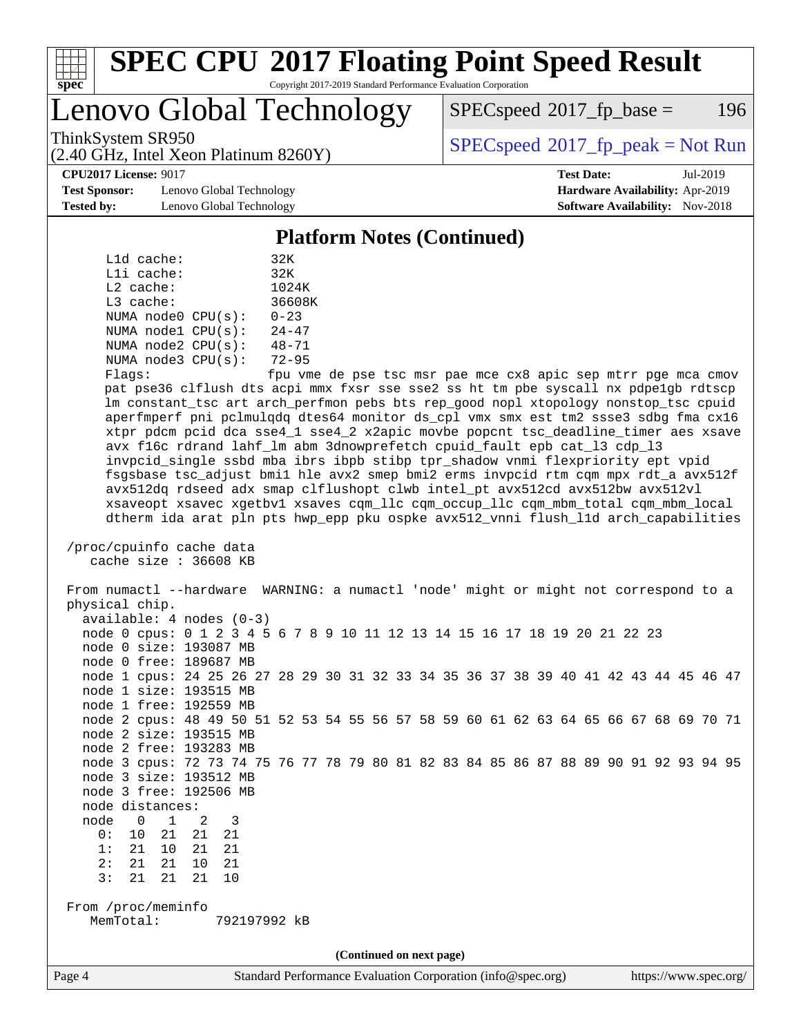

### **[SPEC CPU](http://www.spec.org/auto/cpu2017/Docs/result-fields.html#SPECCPU2017FloatingPointSpeedResult)[2017 Floating Point Speed Result](http://www.spec.org/auto/cpu2017/Docs/result-fields.html#SPECCPU2017FloatingPointSpeedResult)** Copyright 2017-2019 Standard Performance Evaluation Corporation

## Lenovo Global Technology

(2.40 GHz, Intel Xeon Platinum 8260Y)

 $SPEC speed^{\circ}2017\_fp\_base = 196$ 

ThinkSystem SR950<br>  $SPECspeed*2017_fp\_peak = Not Run$  $SPECspeed*2017_fp\_peak = Not Run$ 

**[Test Sponsor:](http://www.spec.org/auto/cpu2017/Docs/result-fields.html#TestSponsor)** Lenovo Global Technology **[Hardware Availability:](http://www.spec.org/auto/cpu2017/Docs/result-fields.html#HardwareAvailability)** Apr-2019 **[Tested by:](http://www.spec.org/auto/cpu2017/Docs/result-fields.html#Testedby)** Lenovo Global Technology **[Software Availability:](http://www.spec.org/auto/cpu2017/Docs/result-fields.html#SoftwareAvailability)** Nov-2018

**[CPU2017 License:](http://www.spec.org/auto/cpu2017/Docs/result-fields.html#CPU2017License)** 9017 **[Test Date:](http://www.spec.org/auto/cpu2017/Docs/result-fields.html#TestDate)** Jul-2019

#### **[Platform Notes \(Continued\)](http://www.spec.org/auto/cpu2017/Docs/result-fields.html#PlatformNotes)**

| L1d cache:  |                         | 32K       |
|-------------|-------------------------|-----------|
| Lli cache:  |                         | 32K       |
| $L2$ cache: |                         | 1024K     |
| $L3$ cache: |                         | 36608K    |
|             | NUMA node0 CPU(s):      | $0 - 23$  |
|             | NUMA nodel CPU(s):      | $24 - 47$ |
|             | NUMA $node2$ $CPU(s)$ : | $48 - 71$ |
|             | NUMA $node3$ $CPU(s)$ : | $72 - 95$ |
|             |                         |           |

Flags: fpu vme de pse tsc msr pae mce cx8 apic sep mtrr pge mca cmov pat pse36 clflush dts acpi mmx fxsr sse sse2 ss ht tm pbe syscall nx pdpe1gb rdtscp lm constant\_tsc art arch\_perfmon pebs bts rep\_good nopl xtopology nonstop\_tsc cpuid aperfmperf pni pclmulqdq dtes64 monitor ds\_cpl vmx smx est tm2 ssse3 sdbg fma cx16 xtpr pdcm pcid dca sse4\_1 sse4\_2 x2apic movbe popcnt tsc\_deadline\_timer aes xsave avx f16c rdrand lahf\_lm abm 3dnowprefetch cpuid\_fault epb cat\_l3 cdp\_l3 invpcid\_single ssbd mba ibrs ibpb stibp tpr\_shadow vnmi flexpriority ept vpid fsgsbase tsc\_adjust bmi1 hle avx2 smep bmi2 erms invpcid rtm cqm mpx rdt\_a avx512f avx512dq rdseed adx smap clflushopt clwb intel\_pt avx512cd avx512bw avx512vl xsaveopt xsavec xgetbv1 xsaves cqm\_llc cqm\_occup\_llc cqm\_mbm\_total cqm\_mbm\_local dtherm ida arat pln pts hwp\_epp pku ospke avx512\_vnni flush\_l1d arch\_capabilities

#### /proc/cpuinfo cache data cache size : 36608 KB

 From numactl --hardware WARNING: a numactl 'node' might or might not correspond to a physical chip. available: 4 nodes (0-3) node 0 cpus: 0 1 2 3 4 5 6 7 8 9 10 11 12 13 14 15 16 17 18 19 20 21 22 23 node 0 size: 193087 MB node 0 free: 189687 MB node 1 cpus: 24 25 26 27 28 29 30 31 32 33 34 35 36 37 38 39 40 41 42 43 44 45 46 47 node 1 size: 193515 MB node 1 free: 192559 MB node 2 cpus: 48 49 50 51 52 53 54 55 56 57 58 59 60 61 62 63 64 65 66 67 68 69 70 71 node 2 size: 193515 MB node 2 free: 193283 MB node 3 cpus: 72 73 74 75 76 77 78 79 80 81 82 83 84 85 86 87 88 89 90 91 92 93 94 95 node 3 size: 193512 MB node 3 free: 192506 MB node distances: node 0 1 2 3 0: 10 21 21 21 1: 21 10 21 21 2: 21 21 10 21 3: 21 21 21 10 From /proc/meminfo MemTotal: 792197992 kB **(Continued on next page)**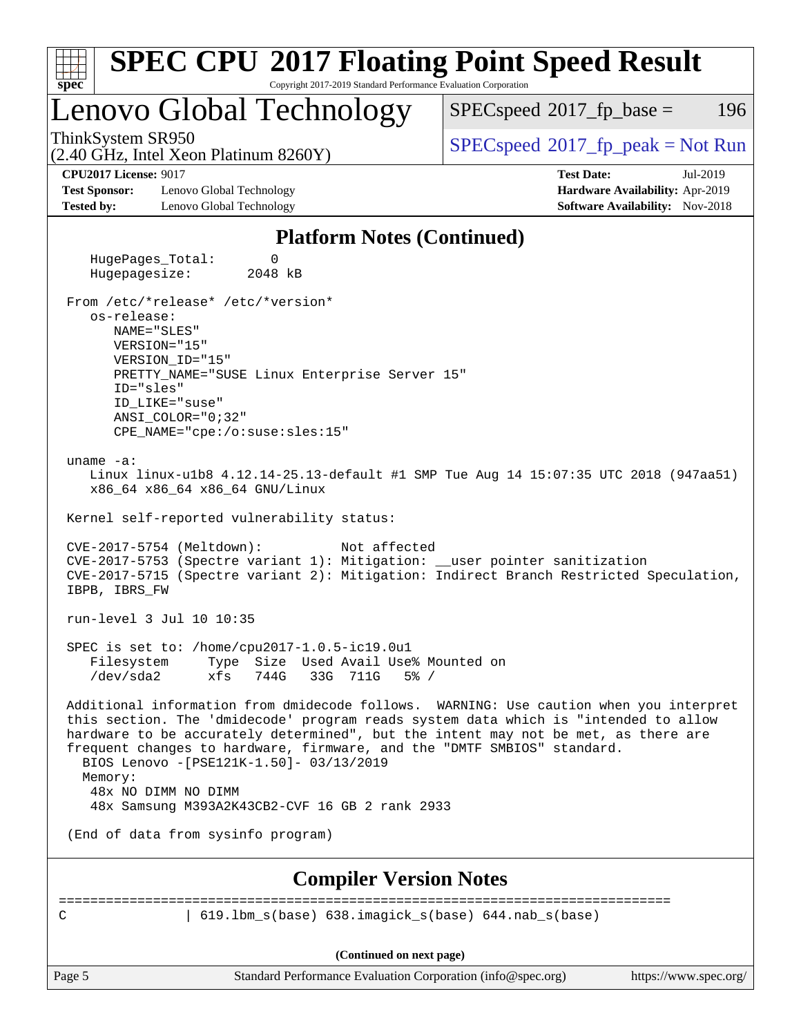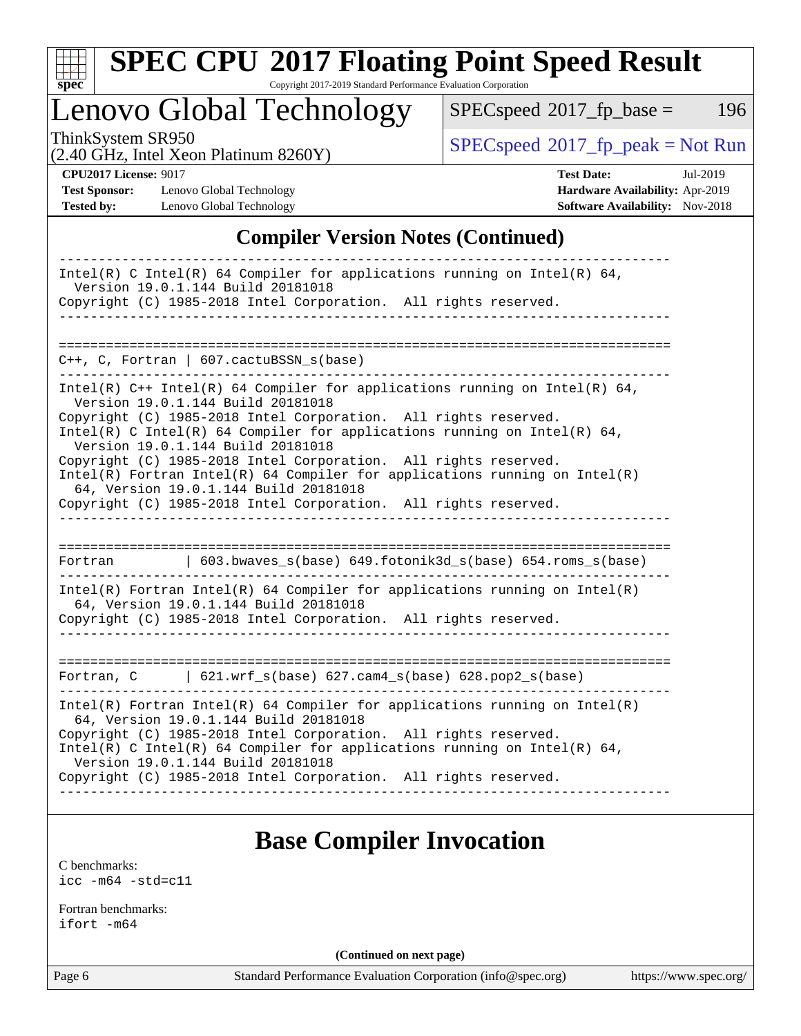

# **[SPEC CPU](http://www.spec.org/auto/cpu2017/Docs/result-fields.html#SPECCPU2017FloatingPointSpeedResult)[2017 Floating Point Speed Result](http://www.spec.org/auto/cpu2017/Docs/result-fields.html#SPECCPU2017FloatingPointSpeedResult)**

Copyright 2017-2019 Standard Performance Evaluation Corporation

## Lenovo Global Technology

 $SPECspeed*2017_fp\_base = 196$  $SPECspeed*2017_fp\_base = 196$ 

(2.40 GHz, Intel Xeon Platinum 8260Y)

 $SPECspeed^{\circ}2017_fp\_peak = Not Run$  $SPECspeed^{\circ}2017_fp\_peak = Not Run$ 

**[Test Sponsor:](http://www.spec.org/auto/cpu2017/Docs/result-fields.html#TestSponsor)** Lenovo Global Technology **[Hardware Availability:](http://www.spec.org/auto/cpu2017/Docs/result-fields.html#HardwareAvailability)** Apr-2019 **[Tested by:](http://www.spec.org/auto/cpu2017/Docs/result-fields.html#Testedby)** Lenovo Global Technology **[Software Availability:](http://www.spec.org/auto/cpu2017/Docs/result-fields.html#SoftwareAvailability)** Nov-2018

**[CPU2017 License:](http://www.spec.org/auto/cpu2017/Docs/result-fields.html#CPU2017License)** 9017 **[Test Date:](http://www.spec.org/auto/cpu2017/Docs/result-fields.html#TestDate)** Jul-2019

### **[Compiler Version Notes \(Continued\)](http://www.spec.org/auto/cpu2017/Docs/result-fields.html#CompilerVersionNotes)**

| Intel(R) C Intel(R) 64 Compiler for applications running on Intel(R) 64,<br>Version 19.0.1.144 Build 20181018<br>Copyright (C) 1985-2018 Intel Corporation. All rights reserved.                                                                                                                                                                                                                                                                                                                                                                                     |
|----------------------------------------------------------------------------------------------------------------------------------------------------------------------------------------------------------------------------------------------------------------------------------------------------------------------------------------------------------------------------------------------------------------------------------------------------------------------------------------------------------------------------------------------------------------------|
|                                                                                                                                                                                                                                                                                                                                                                                                                                                                                                                                                                      |
| $C++$ , C, Fortran   607.cactuBSSN_s(base)                                                                                                                                                                                                                                                                                                                                                                                                                                                                                                                           |
| Intel(R) $C++$ Intel(R) 64 Compiler for applications running on Intel(R) 64,<br>Version 19.0.1.144 Build 20181018<br>Copyright (C) 1985-2018 Intel Corporation. All rights reserved.<br>Intel(R) C Intel(R) 64 Compiler for applications running on Intel(R) 64,<br>Version 19.0.1.144 Build 20181018<br>Copyright (C) 1985-2018 Intel Corporation. All rights reserved.<br>$Intel(R)$ Fortran Intel(R) 64 Compiler for applications running on Intel(R)<br>64, Version 19.0.1.144 Build 20181018<br>Copyright (C) 1985-2018 Intel Corporation. All rights reserved. |
| $\vert$ 603.bwaves_s(base) 649.fotonik3d_s(base) 654.roms_s(base)<br>Fortran                                                                                                                                                                                                                                                                                                                                                                                                                                                                                         |
| $Intel(R)$ Fortran Intel(R) 64 Compiler for applications running on Intel(R)<br>64, Version 19.0.1.144 Build 20181018<br>Copyright (C) 1985-2018 Intel Corporation. All rights reserved.                                                                                                                                                                                                                                                                                                                                                                             |
| Fortran, $C = \begin{bmatrix} 621.wrf\_s(base) & 627.cam4_s(base) & 628.pop2_s(base) \end{bmatrix}$                                                                                                                                                                                                                                                                                                                                                                                                                                                                  |
| $Intel(R)$ Fortran Intel(R) 64 Compiler for applications running on Intel(R)<br>64, Version 19.0.1.144 Build 20181018<br>Copyright (C) 1985-2018 Intel Corporation. All rights reserved.<br>Intel(R) C Intel(R) 64 Compiler for applications running on Intel(R) 64,<br>Version 19.0.1.144 Build 20181018<br>Copyright (C) 1985-2018 Intel Corporation. All rights reserved.                                                                                                                                                                                         |

## **[Base Compiler Invocation](http://www.spec.org/auto/cpu2017/Docs/result-fields.html#BaseCompilerInvocation)**

[C benchmarks](http://www.spec.org/auto/cpu2017/Docs/result-fields.html#Cbenchmarks): [icc -m64 -std=c11](http://www.spec.org/cpu2017/results/res2019q3/cpu2017-20190722-16231.flags.html#user_CCbase_intel_icc_64bit_c11_33ee0cdaae7deeeab2a9725423ba97205ce30f63b9926c2519791662299b76a0318f32ddfffdc46587804de3178b4f9328c46fa7c2b0cd779d7a61945c91cd35)

[Fortran benchmarks](http://www.spec.org/auto/cpu2017/Docs/result-fields.html#Fortranbenchmarks): [ifort -m64](http://www.spec.org/cpu2017/results/res2019q3/cpu2017-20190722-16231.flags.html#user_FCbase_intel_ifort_64bit_24f2bb282fbaeffd6157abe4f878425411749daecae9a33200eee2bee2fe76f3b89351d69a8130dd5949958ce389cf37ff59a95e7a40d588e8d3a57e0c3fd751)

**(Continued on next page)**

Page 6 Standard Performance Evaluation Corporation [\(info@spec.org\)](mailto:info@spec.org) <https://www.spec.org/>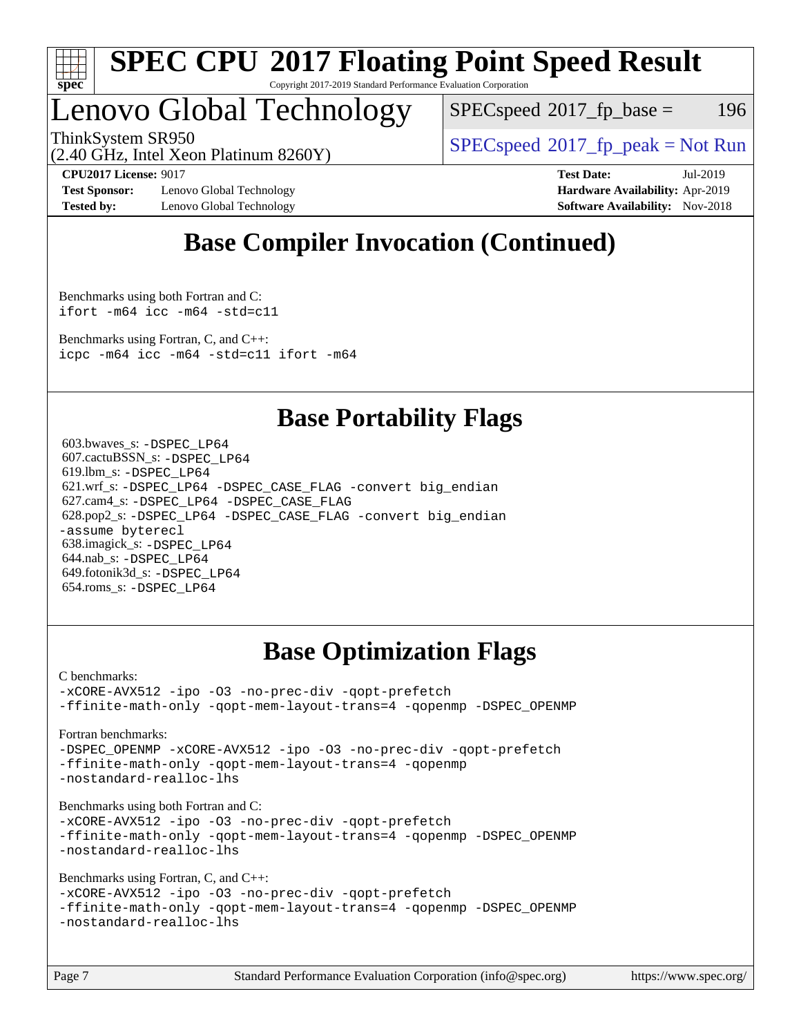

#### **[SPEC CPU](http://www.spec.org/auto/cpu2017/Docs/result-fields.html#SPECCPU2017FloatingPointSpeedResult)[2017 Floating Point Speed Result](http://www.spec.org/auto/cpu2017/Docs/result-fields.html#SPECCPU2017FloatingPointSpeedResult)** Copyright 2017-2019 Standard Performance Evaluation Corporation

## Lenovo Global Technology

 $SPEC speed^{\circ}2017$  fp base = 196

(2.40 GHz, Intel Xeon Platinum 8260Y)

ThinkSystem SR950<br>  $SPECspeed^{\circ}2017<sub>rfp</sub> peak = Not Run$  $SPECspeed^{\circ}2017<sub>rfp</sub> peak = Not Run$ 

**[Test Sponsor:](http://www.spec.org/auto/cpu2017/Docs/result-fields.html#TestSponsor)** Lenovo Global Technology **[Hardware Availability:](http://www.spec.org/auto/cpu2017/Docs/result-fields.html#HardwareAvailability)** Apr-2019 **[Tested by:](http://www.spec.org/auto/cpu2017/Docs/result-fields.html#Testedby)** Lenovo Global Technology **[Software Availability:](http://www.spec.org/auto/cpu2017/Docs/result-fields.html#SoftwareAvailability)** Nov-2018

**[CPU2017 License:](http://www.spec.org/auto/cpu2017/Docs/result-fields.html#CPU2017License)** 9017 **[Test Date:](http://www.spec.org/auto/cpu2017/Docs/result-fields.html#TestDate)** Jul-2019

## **[Base Compiler Invocation \(Continued\)](http://www.spec.org/auto/cpu2017/Docs/result-fields.html#BaseCompilerInvocation)**

[Benchmarks using both Fortran and C](http://www.spec.org/auto/cpu2017/Docs/result-fields.html#BenchmarksusingbothFortranandC): [ifort -m64](http://www.spec.org/cpu2017/results/res2019q3/cpu2017-20190722-16231.flags.html#user_CC_FCbase_intel_ifort_64bit_24f2bb282fbaeffd6157abe4f878425411749daecae9a33200eee2bee2fe76f3b89351d69a8130dd5949958ce389cf37ff59a95e7a40d588e8d3a57e0c3fd751) [icc -m64 -std=c11](http://www.spec.org/cpu2017/results/res2019q3/cpu2017-20190722-16231.flags.html#user_CC_FCbase_intel_icc_64bit_c11_33ee0cdaae7deeeab2a9725423ba97205ce30f63b9926c2519791662299b76a0318f32ddfffdc46587804de3178b4f9328c46fa7c2b0cd779d7a61945c91cd35)

[Benchmarks using Fortran, C, and C++:](http://www.spec.org/auto/cpu2017/Docs/result-fields.html#BenchmarksusingFortranCandCXX) [icpc -m64](http://www.spec.org/cpu2017/results/res2019q3/cpu2017-20190722-16231.flags.html#user_CC_CXX_FCbase_intel_icpc_64bit_4ecb2543ae3f1412ef961e0650ca070fec7b7afdcd6ed48761b84423119d1bf6bdf5cad15b44d48e7256388bc77273b966e5eb805aefd121eb22e9299b2ec9d9) [icc -m64 -std=c11](http://www.spec.org/cpu2017/results/res2019q3/cpu2017-20190722-16231.flags.html#user_CC_CXX_FCbase_intel_icc_64bit_c11_33ee0cdaae7deeeab2a9725423ba97205ce30f63b9926c2519791662299b76a0318f32ddfffdc46587804de3178b4f9328c46fa7c2b0cd779d7a61945c91cd35) [ifort -m64](http://www.spec.org/cpu2017/results/res2019q3/cpu2017-20190722-16231.flags.html#user_CC_CXX_FCbase_intel_ifort_64bit_24f2bb282fbaeffd6157abe4f878425411749daecae9a33200eee2bee2fe76f3b89351d69a8130dd5949958ce389cf37ff59a95e7a40d588e8d3a57e0c3fd751)

## **[Base Portability Flags](http://www.spec.org/auto/cpu2017/Docs/result-fields.html#BasePortabilityFlags)**

 603.bwaves\_s: [-DSPEC\\_LP64](http://www.spec.org/cpu2017/results/res2019q3/cpu2017-20190722-16231.flags.html#suite_basePORTABILITY603_bwaves_s_DSPEC_LP64) 607.cactuBSSN\_s: [-DSPEC\\_LP64](http://www.spec.org/cpu2017/results/res2019q3/cpu2017-20190722-16231.flags.html#suite_basePORTABILITY607_cactuBSSN_s_DSPEC_LP64) 619.lbm\_s: [-DSPEC\\_LP64](http://www.spec.org/cpu2017/results/res2019q3/cpu2017-20190722-16231.flags.html#suite_basePORTABILITY619_lbm_s_DSPEC_LP64) 621.wrf\_s: [-DSPEC\\_LP64](http://www.spec.org/cpu2017/results/res2019q3/cpu2017-20190722-16231.flags.html#suite_basePORTABILITY621_wrf_s_DSPEC_LP64) [-DSPEC\\_CASE\\_FLAG](http://www.spec.org/cpu2017/results/res2019q3/cpu2017-20190722-16231.flags.html#b621.wrf_s_baseCPORTABILITY_DSPEC_CASE_FLAG) [-convert big\\_endian](http://www.spec.org/cpu2017/results/res2019q3/cpu2017-20190722-16231.flags.html#user_baseFPORTABILITY621_wrf_s_convert_big_endian_c3194028bc08c63ac5d04de18c48ce6d347e4e562e8892b8bdbdc0214820426deb8554edfa529a3fb25a586e65a3d812c835984020483e7e73212c4d31a38223) 627.cam4\_s: [-DSPEC\\_LP64](http://www.spec.org/cpu2017/results/res2019q3/cpu2017-20190722-16231.flags.html#suite_basePORTABILITY627_cam4_s_DSPEC_LP64) [-DSPEC\\_CASE\\_FLAG](http://www.spec.org/cpu2017/results/res2019q3/cpu2017-20190722-16231.flags.html#b627.cam4_s_baseCPORTABILITY_DSPEC_CASE_FLAG) 628.pop2\_s: [-DSPEC\\_LP64](http://www.spec.org/cpu2017/results/res2019q3/cpu2017-20190722-16231.flags.html#suite_basePORTABILITY628_pop2_s_DSPEC_LP64) [-DSPEC\\_CASE\\_FLAG](http://www.spec.org/cpu2017/results/res2019q3/cpu2017-20190722-16231.flags.html#b628.pop2_s_baseCPORTABILITY_DSPEC_CASE_FLAG) [-convert big\\_endian](http://www.spec.org/cpu2017/results/res2019q3/cpu2017-20190722-16231.flags.html#user_baseFPORTABILITY628_pop2_s_convert_big_endian_c3194028bc08c63ac5d04de18c48ce6d347e4e562e8892b8bdbdc0214820426deb8554edfa529a3fb25a586e65a3d812c835984020483e7e73212c4d31a38223) [-assume byterecl](http://www.spec.org/cpu2017/results/res2019q3/cpu2017-20190722-16231.flags.html#user_baseFPORTABILITY628_pop2_s_assume_byterecl_7e47d18b9513cf18525430bbf0f2177aa9bf368bc7a059c09b2c06a34b53bd3447c950d3f8d6c70e3faf3a05c8557d66a5798b567902e8849adc142926523472) 638.imagick\_s: [-DSPEC\\_LP64](http://www.spec.org/cpu2017/results/res2019q3/cpu2017-20190722-16231.flags.html#suite_basePORTABILITY638_imagick_s_DSPEC_LP64) 644.nab\_s: [-DSPEC\\_LP64](http://www.spec.org/cpu2017/results/res2019q3/cpu2017-20190722-16231.flags.html#suite_basePORTABILITY644_nab_s_DSPEC_LP64) 649.fotonik3d\_s: [-DSPEC\\_LP64](http://www.spec.org/cpu2017/results/res2019q3/cpu2017-20190722-16231.flags.html#suite_basePORTABILITY649_fotonik3d_s_DSPEC_LP64) 654.roms\_s: [-DSPEC\\_LP64](http://www.spec.org/cpu2017/results/res2019q3/cpu2017-20190722-16231.flags.html#suite_basePORTABILITY654_roms_s_DSPEC_LP64)

## **[Base Optimization Flags](http://www.spec.org/auto/cpu2017/Docs/result-fields.html#BaseOptimizationFlags)**

[C benchmarks](http://www.spec.org/auto/cpu2017/Docs/result-fields.html#Cbenchmarks):

[-xCORE-AVX512](http://www.spec.org/cpu2017/results/res2019q3/cpu2017-20190722-16231.flags.html#user_CCbase_f-xCORE-AVX512) [-ipo](http://www.spec.org/cpu2017/results/res2019q3/cpu2017-20190722-16231.flags.html#user_CCbase_f-ipo) [-O3](http://www.spec.org/cpu2017/results/res2019q3/cpu2017-20190722-16231.flags.html#user_CCbase_f-O3) [-no-prec-div](http://www.spec.org/cpu2017/results/res2019q3/cpu2017-20190722-16231.flags.html#user_CCbase_f-no-prec-div) [-qopt-prefetch](http://www.spec.org/cpu2017/results/res2019q3/cpu2017-20190722-16231.flags.html#user_CCbase_f-qopt-prefetch) [-ffinite-math-only](http://www.spec.org/cpu2017/results/res2019q3/cpu2017-20190722-16231.flags.html#user_CCbase_f_finite_math_only_cb91587bd2077682c4b38af759c288ed7c732db004271a9512da14a4f8007909a5f1427ecbf1a0fb78ff2a814402c6114ac565ca162485bbcae155b5e4258871) [-qopt-mem-layout-trans=4](http://www.spec.org/cpu2017/results/res2019q3/cpu2017-20190722-16231.flags.html#user_CCbase_f-qopt-mem-layout-trans_fa39e755916c150a61361b7846f310bcdf6f04e385ef281cadf3647acec3f0ae266d1a1d22d972a7087a248fd4e6ca390a3634700869573d231a252c784941a8) [-qopenmp](http://www.spec.org/cpu2017/results/res2019q3/cpu2017-20190722-16231.flags.html#user_CCbase_qopenmp_16be0c44f24f464004c6784a7acb94aca937f053568ce72f94b139a11c7c168634a55f6653758ddd83bcf7b8463e8028bb0b48b77bcddc6b78d5d95bb1df2967) [-DSPEC\\_OPENMP](http://www.spec.org/cpu2017/results/res2019q3/cpu2017-20190722-16231.flags.html#suite_CCbase_DSPEC_OPENMP)

[Fortran benchmarks](http://www.spec.org/auto/cpu2017/Docs/result-fields.html#Fortranbenchmarks):

[-DSPEC\\_OPENMP](http://www.spec.org/cpu2017/results/res2019q3/cpu2017-20190722-16231.flags.html#suite_FCbase_DSPEC_OPENMP) [-xCORE-AVX512](http://www.spec.org/cpu2017/results/res2019q3/cpu2017-20190722-16231.flags.html#user_FCbase_f-xCORE-AVX512) [-ipo](http://www.spec.org/cpu2017/results/res2019q3/cpu2017-20190722-16231.flags.html#user_FCbase_f-ipo) [-O3](http://www.spec.org/cpu2017/results/res2019q3/cpu2017-20190722-16231.flags.html#user_FCbase_f-O3) [-no-prec-div](http://www.spec.org/cpu2017/results/res2019q3/cpu2017-20190722-16231.flags.html#user_FCbase_f-no-prec-div) [-qopt-prefetch](http://www.spec.org/cpu2017/results/res2019q3/cpu2017-20190722-16231.flags.html#user_FCbase_f-qopt-prefetch) [-ffinite-math-only](http://www.spec.org/cpu2017/results/res2019q3/cpu2017-20190722-16231.flags.html#user_FCbase_f_finite_math_only_cb91587bd2077682c4b38af759c288ed7c732db004271a9512da14a4f8007909a5f1427ecbf1a0fb78ff2a814402c6114ac565ca162485bbcae155b5e4258871) [-qopt-mem-layout-trans=4](http://www.spec.org/cpu2017/results/res2019q3/cpu2017-20190722-16231.flags.html#user_FCbase_f-qopt-mem-layout-trans_fa39e755916c150a61361b7846f310bcdf6f04e385ef281cadf3647acec3f0ae266d1a1d22d972a7087a248fd4e6ca390a3634700869573d231a252c784941a8) [-qopenmp](http://www.spec.org/cpu2017/results/res2019q3/cpu2017-20190722-16231.flags.html#user_FCbase_qopenmp_16be0c44f24f464004c6784a7acb94aca937f053568ce72f94b139a11c7c168634a55f6653758ddd83bcf7b8463e8028bb0b48b77bcddc6b78d5d95bb1df2967) [-nostandard-realloc-lhs](http://www.spec.org/cpu2017/results/res2019q3/cpu2017-20190722-16231.flags.html#user_FCbase_f_2003_std_realloc_82b4557e90729c0f113870c07e44d33d6f5a304b4f63d4c15d2d0f1fab99f5daaed73bdb9275d9ae411527f28b936061aa8b9c8f2d63842963b95c9dd6426b8a)

[Benchmarks using both Fortran and C](http://www.spec.org/auto/cpu2017/Docs/result-fields.html#BenchmarksusingbothFortranandC):

[-xCORE-AVX512](http://www.spec.org/cpu2017/results/res2019q3/cpu2017-20190722-16231.flags.html#user_CC_FCbase_f-xCORE-AVX512) [-ipo](http://www.spec.org/cpu2017/results/res2019q3/cpu2017-20190722-16231.flags.html#user_CC_FCbase_f-ipo) [-O3](http://www.spec.org/cpu2017/results/res2019q3/cpu2017-20190722-16231.flags.html#user_CC_FCbase_f-O3) [-no-prec-div](http://www.spec.org/cpu2017/results/res2019q3/cpu2017-20190722-16231.flags.html#user_CC_FCbase_f-no-prec-div) [-qopt-prefetch](http://www.spec.org/cpu2017/results/res2019q3/cpu2017-20190722-16231.flags.html#user_CC_FCbase_f-qopt-prefetch) [-ffinite-math-only](http://www.spec.org/cpu2017/results/res2019q3/cpu2017-20190722-16231.flags.html#user_CC_FCbase_f_finite_math_only_cb91587bd2077682c4b38af759c288ed7c732db004271a9512da14a4f8007909a5f1427ecbf1a0fb78ff2a814402c6114ac565ca162485bbcae155b5e4258871) [-qopt-mem-layout-trans=4](http://www.spec.org/cpu2017/results/res2019q3/cpu2017-20190722-16231.flags.html#user_CC_FCbase_f-qopt-mem-layout-trans_fa39e755916c150a61361b7846f310bcdf6f04e385ef281cadf3647acec3f0ae266d1a1d22d972a7087a248fd4e6ca390a3634700869573d231a252c784941a8) [-qopenmp](http://www.spec.org/cpu2017/results/res2019q3/cpu2017-20190722-16231.flags.html#user_CC_FCbase_qopenmp_16be0c44f24f464004c6784a7acb94aca937f053568ce72f94b139a11c7c168634a55f6653758ddd83bcf7b8463e8028bb0b48b77bcddc6b78d5d95bb1df2967) [-DSPEC\\_OPENMP](http://www.spec.org/cpu2017/results/res2019q3/cpu2017-20190722-16231.flags.html#suite_CC_FCbase_DSPEC_OPENMP) [-nostandard-realloc-lhs](http://www.spec.org/cpu2017/results/res2019q3/cpu2017-20190722-16231.flags.html#user_CC_FCbase_f_2003_std_realloc_82b4557e90729c0f113870c07e44d33d6f5a304b4f63d4c15d2d0f1fab99f5daaed73bdb9275d9ae411527f28b936061aa8b9c8f2d63842963b95c9dd6426b8a)

[Benchmarks using Fortran, C, and C++:](http://www.spec.org/auto/cpu2017/Docs/result-fields.html#BenchmarksusingFortranCandCXX)

[-xCORE-AVX512](http://www.spec.org/cpu2017/results/res2019q3/cpu2017-20190722-16231.flags.html#user_CC_CXX_FCbase_f-xCORE-AVX512) [-ipo](http://www.spec.org/cpu2017/results/res2019q3/cpu2017-20190722-16231.flags.html#user_CC_CXX_FCbase_f-ipo) [-O3](http://www.spec.org/cpu2017/results/res2019q3/cpu2017-20190722-16231.flags.html#user_CC_CXX_FCbase_f-O3) [-no-prec-div](http://www.spec.org/cpu2017/results/res2019q3/cpu2017-20190722-16231.flags.html#user_CC_CXX_FCbase_f-no-prec-div) [-qopt-prefetch](http://www.spec.org/cpu2017/results/res2019q3/cpu2017-20190722-16231.flags.html#user_CC_CXX_FCbase_f-qopt-prefetch) [-ffinite-math-only](http://www.spec.org/cpu2017/results/res2019q3/cpu2017-20190722-16231.flags.html#user_CC_CXX_FCbase_f_finite_math_only_cb91587bd2077682c4b38af759c288ed7c732db004271a9512da14a4f8007909a5f1427ecbf1a0fb78ff2a814402c6114ac565ca162485bbcae155b5e4258871) [-qopt-mem-layout-trans=4](http://www.spec.org/cpu2017/results/res2019q3/cpu2017-20190722-16231.flags.html#user_CC_CXX_FCbase_f-qopt-mem-layout-trans_fa39e755916c150a61361b7846f310bcdf6f04e385ef281cadf3647acec3f0ae266d1a1d22d972a7087a248fd4e6ca390a3634700869573d231a252c784941a8) [-qopenmp](http://www.spec.org/cpu2017/results/res2019q3/cpu2017-20190722-16231.flags.html#user_CC_CXX_FCbase_qopenmp_16be0c44f24f464004c6784a7acb94aca937f053568ce72f94b139a11c7c168634a55f6653758ddd83bcf7b8463e8028bb0b48b77bcddc6b78d5d95bb1df2967) [-DSPEC\\_OPENMP](http://www.spec.org/cpu2017/results/res2019q3/cpu2017-20190722-16231.flags.html#suite_CC_CXX_FCbase_DSPEC_OPENMP) [-nostandard-realloc-lhs](http://www.spec.org/cpu2017/results/res2019q3/cpu2017-20190722-16231.flags.html#user_CC_CXX_FCbase_f_2003_std_realloc_82b4557e90729c0f113870c07e44d33d6f5a304b4f63d4c15d2d0f1fab99f5daaed73bdb9275d9ae411527f28b936061aa8b9c8f2d63842963b95c9dd6426b8a)